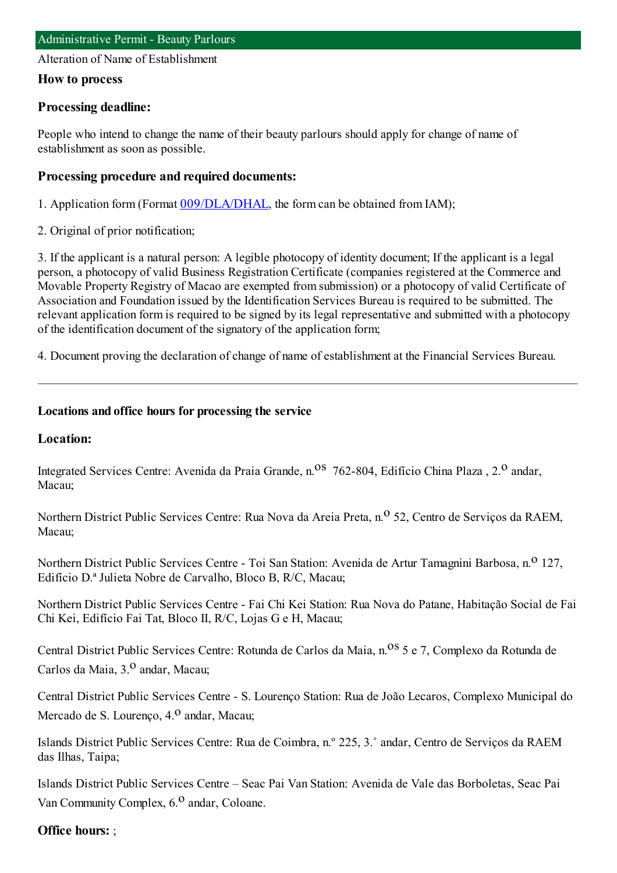Alteration of Name of Establishment

#### **How to process**

### **Processing deadline:**

People who intend to change the name of their beauty parlours should apply for change of name of establishment as soon as possible.

#### **Processing procedure and required documents:**

1. Application form (Format [009/DLA/DHAL](https://www.iam.gov.mo/c/pdf/eformDetail/PDF363), the form can be obtained from IAM);

2. Original of prior notification;

3. If the applicant is a natural person: A legible photocopy of identity document; If the applicant is a legal person, a photocopy of valid Business Registration Certificate (companies registered at the Commerce and Movable Property Registry of Macao are exempted fromsubmission) or a photocopy of valid Certificate of Association and Foundation issued by the Identification Services Bureau is required to be submitted. The relevant application formis required to be signed by its legal representative and submitted with a photocopy of the identification document of the signatory of the application form;

4. Document proving the declaration of change of name of establishment at the Financial Services Bureau.

### **Locations and office hours for processing the service**

#### **Location:**

Integrated Services Centre: Avenida da Praia Grande, n.<sup>08</sup> 762-804, Edifício China Plaza, 2.<sup>0</sup> andar, Macau;

Northern District Public Services Centre: Rua Nova da Areia Preta, n.<sup>o</sup> 52, Centro de Servicos da RAEM, Macau;

Northern District Public Services Centre - Toi San Station: Avenida de Artur Tamagnini Barbosa, n.<sup>0</sup> 127, Edifício D.ª Julieta Nobre de Carvalho, Bloco B, R/C, Macau;

Northern District Public Services Centre - Fai Chi Kei Station: Rua Nova do Patane, Habitação Social de Fai Chi Kei, Edifício Fai Tat, Bloco II, R/C, Lojas G e H, Macau;

Central District Public Services Centre: Rotunda de Carlos da Maia, n.<sup>08</sup> 5 e 7, Complexo da Rotunda de Carlos da Maia, 3.<sup>0</sup> andar, Macau;

Central District Public Services Centre - S. Lourenço Station: Rua de João Lecaros, Complexo Municipal do Mercado de S. Lourenço, 4.<sup>0</sup> andar, Macau;

Islands District Public Services Centre: Rua de Coimbra, n.º 225, 3.˚ andar, Centro de Serviços da RAEM das Ilhas, Taipa;

Islands District Public Services Centre – Seac Pai Van Station: Avenida de Vale das Borboletas, Seac Pai Van Community Complex,  $6<sup>0</sup>$  andar, Coloane.

#### **Office hours:** ;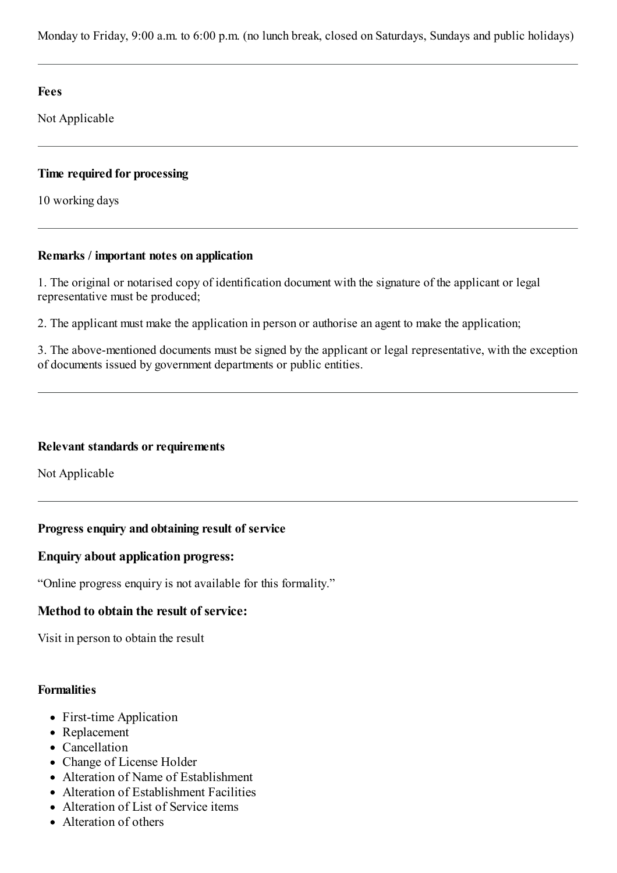Monday to Friday, 9:00 a.m. to 6:00 p.m. (no lunch break, closed on Saturdays, Sundays and public holidays)

**Fees**

Not Applicable

## **Time required for processing**

10 working days

## **Remarks / important notes on application**

1. The original or notarised copy of identification document with the signature of the applicant or legal representative must be produced;

2. The applicant must make the application in person or authorise an agent to make the application;

3. The above-mentioned documents must be signed by the applicant or legal representative, with the exception of documents issued by government departments or public entities.

## **Relevant standards or requirements**

Not Applicable

# **Progress enquiry and obtaining result of service**

## **Enquiry about application progress:**

"Online progress enquiry is not available for this formality."

# **Method to obtain the result of service:**

Visit in person to obtain the result

## **Formalities**

- First-time Application
- Replacement
- Cancellation
- Change of License Holder
- Alteration of Name of Establishment
- Alteration of Establishment Facilities
- Alteration of List of Service items
- Alteration of others